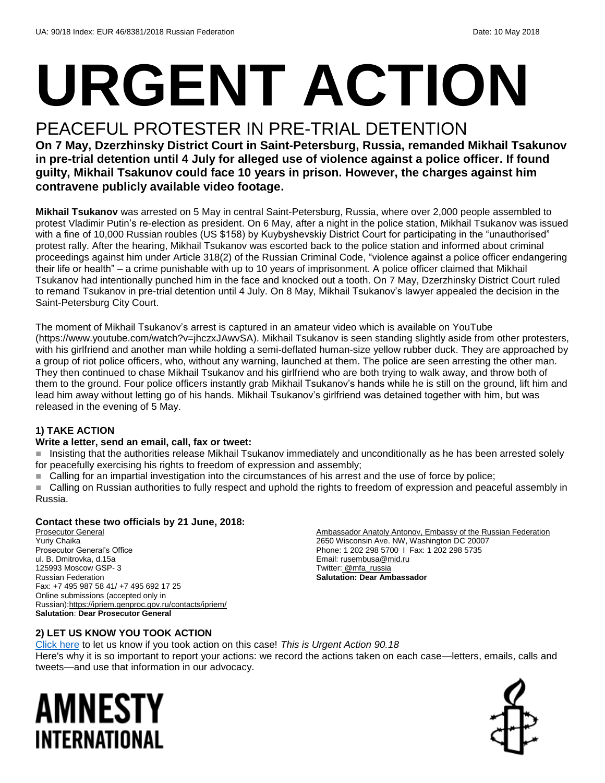# **URGENT ACTION**

# PEACEFUL PROTESTER IN PRE-TRIAL DETENTION

**On 7 May, Dzerzhinsky District Court in Saint-Petersburg, Russia, remanded Mikhail Tsakunov in pre-trial detention until 4 July for alleged use of violence against a police officer. If found guilty, Mikhail Tsakunov could face 10 years in prison. However, the charges against him contravene publicly available video footage.**

**Mikhail Tsukanov** was arrested on 5 May in central Saint-Petersburg, Russia, where over 2,000 people assembled to protest Vladimir Putin's re-election as president. On 6 May, after a night in the police station, Mikhail Tsukanov was issued with a fine of 10,000 Russian roubles (US \$158) by Kuybyshevskiy District Court for participating in the "unauthorised" protest rally. After the hearing, Mikhail Tsukanov was escorted back to the police station and informed about criminal proceedings against him under Article 318(2) of the Russian Criminal Code, "violence against a police officer endangering their life or health" – a crime punishable with up to 10 years of imprisonment. A police officer claimed that Mikhail Tsukanov had intentionally punched him in the face and knocked out a tooth. On 7 May, Dzerzhinsky District Court ruled to remand Tsukanov in pre-trial detention until 4 July. On 8 May, Mikhail Tsukanov's lawyer appealed the decision in the Saint-Petersburg City Court.

The moment of Mikhail Tsukanov's arrest is captured in an amateur video which is available on YouTube (https://www.youtube.com/watch?v=jhczxJAwvSA). Mikhail Tsukanov is seen standing slightly aside from other protesters, with his girlfriend and another man while holding a semi-deflated human-size yellow rubber duck. They are approached by a group of riot police officers, who, without any warning, launched at them. The police are seen arresting the other man. They then continued to chase Mikhail Tsukanov and his girlfriend who are both trying to walk away, and throw both of them to the ground. Four police officers instantly grab Mikhail Tsukanov's hands while he is still on the ground, lift him and lead him away without letting go of his hands. Mikhail Tsukanov's girlfriend was detained together with him, but was released in the evening of 5 May.

#### **1) TAKE ACTION**

#### **Write a letter, send an email, call, fax or tweet:**

 Insisting that the authorities release Mikhail Tsukanov immediately and unconditionally as he has been arrested solely for peacefully exercising his rights to freedom of expression and assembly;

Calling for an impartial investigation into the circumstances of his arrest and the use of force by police;

 Calling on Russian authorities to fully respect and uphold the rights to freedom of expression and peaceful assembly in Russia.

#### **Contact these two officials by 21 June, 2018:**

Prosecutor General Yuriy Chaika Prosecutor General's Office ul. B. Dmitrovka, d.15a 125993 Moscow GSP- 3 Russian Federation Fax: +7 495 987 58 41/ +7 495 692 17 25 Online submissions (accepted only in Russian)[:https://ipriem.genproc.gov.ru/contacts/ipriem/](https://ipriem.genproc.gov.ru/contacts/ipriem/) **Salutation**: **Dear Prosecutor General**

Ambassador Anatoly Antonov, Embassy of the Russian Federation 2650 Wisconsin Ave. NW, Washington DC 20007 Phone: 1 202 298 5700 I Fax: 1 202 298 5735 Email[: rusembusa@mid.ru](mailto:rusembusa@mid.ru) Twitter: [@mfa\\_russia](https://twitter.com/mfa_russia?ref_src=twsrc%5Egoogle%7Ctwcamp%5Eserp%7Ctwgr%5Eauthor) **Salutation: Dear Ambassador**

#### **2) LET US KNOW YOU TOOK ACTION**

[Click here](https://www.amnestyusa.org/report-urgent-actions/) to let us know if you took action on this case! *This is Urgent Action 90.18* Here's why it is so important to report your actions: we record the actions taken on each case—letters, emails, calls and tweets—and use that information in our advocacy.